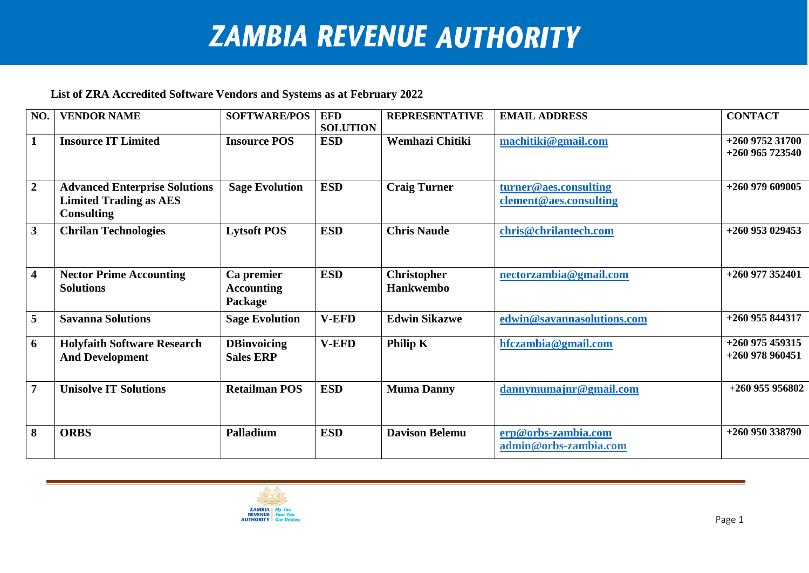## **ZAMBIA REVENUE AUTHORITY**

## **List of ZRA Accredited Software Vendors and Systems as at February 2022**

| NO.                     | <b>VENDOR NAME</b>                                                                         | <b>SOFTWARE/POS</b>                        | <b>EFD</b><br><b>SOLUTION</b> | <b>REPRESENTATIVE</b>                  | <b>EMAIL ADDRESS</b>                            | <b>CONTACT</b>                         |
|-------------------------|--------------------------------------------------------------------------------------------|--------------------------------------------|-------------------------------|----------------------------------------|-------------------------------------------------|----------------------------------------|
| $\mathbf{1}$            | <b>Insource IT Limited</b>                                                                 | <b>Insource POS</b>                        | <b>ESD</b>                    | Wemhazi Chitiki                        | machitiki@gmail.com                             | $+260$ 9752 31700<br>$+260$ 965 723540 |
| $\overline{2}$          | <b>Advanced Enterprise Solutions</b><br><b>Limited Trading as AES</b><br><b>Consulting</b> | <b>Sage Evolution</b>                      | <b>ESD</b>                    | <b>Craig Turner</b>                    | turner@aes.consulting<br>clement@aes.consulting | $+260$ 979 609005                      |
| $\overline{\mathbf{3}}$ | <b>Chrilan Technologies</b>                                                                | <b>Lytsoft POS</b>                         | <b>ESD</b>                    | <b>Chris Naude</b>                     | chris@chrilantech.com                           | $+260$ 953 029453                      |
| $\overline{\mathbf{4}}$ | <b>Nector Prime Accounting</b><br><b>Solutions</b>                                         | Ca premier<br><b>Accounting</b><br>Package | <b>ESD</b>                    | <b>Christopher</b><br><b>Hankwembo</b> | nectorzambia@gmail.com                          | $+260$ 977 352401                      |
| 5                       | <b>Savanna Solutions</b>                                                                   | <b>Sage Evolution</b>                      | <b>V-EFD</b>                  | <b>Edwin Sikazwe</b>                   | edwin@savannasolutions.com                      | $+260$ 955 844317                      |
| 6                       | <b>Holyfaith Software Research</b><br><b>And Development</b>                               | <b>DBinvoicing</b><br><b>Sales ERP</b>     | <b>V-EFD</b>                  | Philip K                               | hfczambia@gmail.com                             | $+260$ 975 459315<br>$+260$ 978 960451 |
| $\overline{7}$          | <b>Unisolve IT Solutions</b>                                                               | <b>Retailman POS</b>                       | <b>ESD</b>                    | <b>Muma Danny</b>                      | dannymumajnr@gmail.com                          | +260 955 956802                        |
| 8                       | <b>ORBS</b>                                                                                | <b>Palladium</b>                           | <b>ESD</b>                    | <b>Davison Belemu</b>                  | erp@orbs-zambia.com<br>admin@orbs-zambia.com    | $+260$ 950 338790                      |